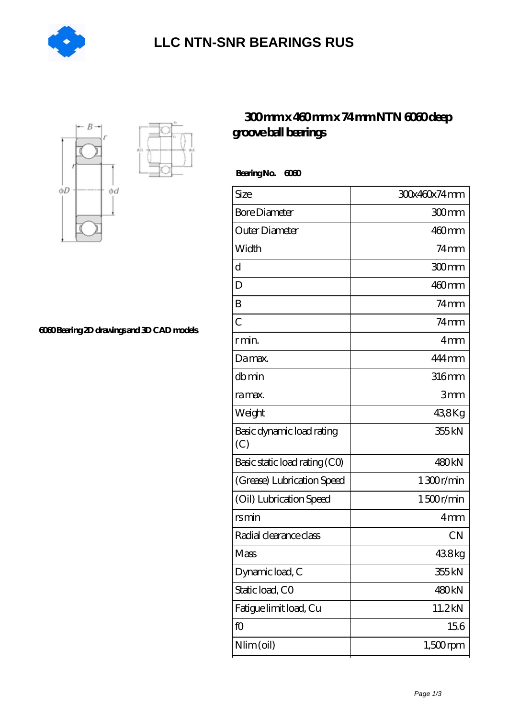

## **[LLC NTN-SNR BEARINGS RUS](https://m.agencel2om.com)**



**[6060 Bearing 2D drawings and 3D CAD models](https://m.agencel2om.com/pic-565506.html)**

## **[300 mm x 460 mm x 74 mm NTN 6060 deep](https://m.agencel2om.com/ntn-6060-bearing/) [groove ball bearings](https://m.agencel2om.com/ntn-6060-bearing/)**

 **Bearing No. 6060**

| Size                             | 300x460x74mm       |
|----------------------------------|--------------------|
| <b>Bore Diameter</b>             | 300mm              |
| Outer Diameter                   | $460$ mm           |
| Width                            | $74 \text{mm}$     |
| d                                | 300mm              |
| D                                | $460$ mm           |
| B                                | $74$ mm            |
| C                                | $74 \,\mathrm{mm}$ |
| r min.                           | 4 <sub>mm</sub>    |
| Da max.                          | 444 mm             |
| dbmin                            | $316$ mm           |
| ra max.                          | 3mm                |
| Weight                           | 438Kg              |
| Basic dynamic load rating<br>(C) | 355 kN             |
| Basic static load rating (CO)    | 480 <sub>kN</sub>  |
| (Grease) Lubrication Speed       | 1300r/min          |
| (Oil) Lubrication Speed          | 1500r/min          |
| rsmin                            | 4mm                |
| Radial clearance class           | <b>CN</b>          |
| Mass                             | 438kg              |
| Dynamic load, C                  | 355 kN             |
| Static load, CO                  | 480 <sub>kN</sub>  |
| Fatigue limit load, Cu           | 11.2kN             |
| fO                               | 156                |
| Nlim (oil)                       | $1,500$ rpm        |
|                                  |                    |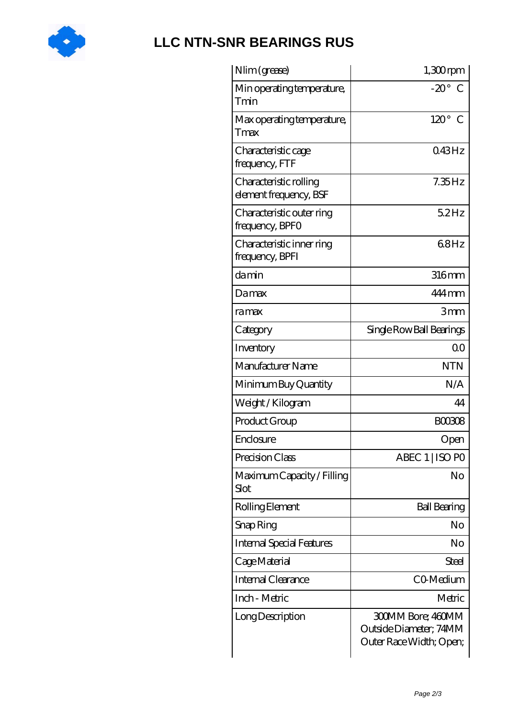

## **[LLC NTN-SNR BEARINGS RUS](https://m.agencel2om.com)**

| Nlim (grease)                                    | $1,300$ rpm                                                                   |
|--------------------------------------------------|-------------------------------------------------------------------------------|
| Min operating temperature,<br>Tmin               | $-20^\circ$ C                                                                 |
| Max operating temperature,<br>Tmax               | $120^\circ$ C                                                                 |
| Characteristic cage<br>frequency, FTF            | 043Hz                                                                         |
| Characteristic rolling<br>element frequency, BSF | $7.35$ Hz                                                                     |
| Characteristic outer ring<br>frequency, BPFO     | 52Hz                                                                          |
| Characteristic inner ring<br>frequency, BPFI     | 68Hz                                                                          |
| damin                                            | 316mm                                                                         |
| Damax                                            | 444 mm                                                                        |
| ra max                                           | 3mm                                                                           |
| Category                                         | Single Row Ball Bearings                                                      |
| Inventory                                        | 0 <sup>0</sup>                                                                |
| Manufacturer Name                                | <b>NTN</b>                                                                    |
| Minimum Buy Quantity                             | N/A                                                                           |
| Weight/Kilogram                                  | 44                                                                            |
| Product Group                                    | <b>BOO308</b>                                                                 |
| Enclosure                                        | Open                                                                          |
| Precision Class                                  | ABEC 1   ISO PO                                                               |
| Maximum Capacity / Filling<br>Slot               | No                                                                            |
| Rolling Element                                  | <b>Ball Bearing</b>                                                           |
| Snap Ring                                        | No                                                                            |
| <b>Internal Special Features</b>                 | No                                                                            |
| Cage Material                                    | Steel                                                                         |
| Internal Clearance                               | CO-Medium                                                                     |
| Inch - Metric                                    | Metric                                                                        |
| Long Description                                 | <b>300MM Bore; 460MM</b><br>Outside Diameter; 74MM<br>Outer Race Width; Open; |